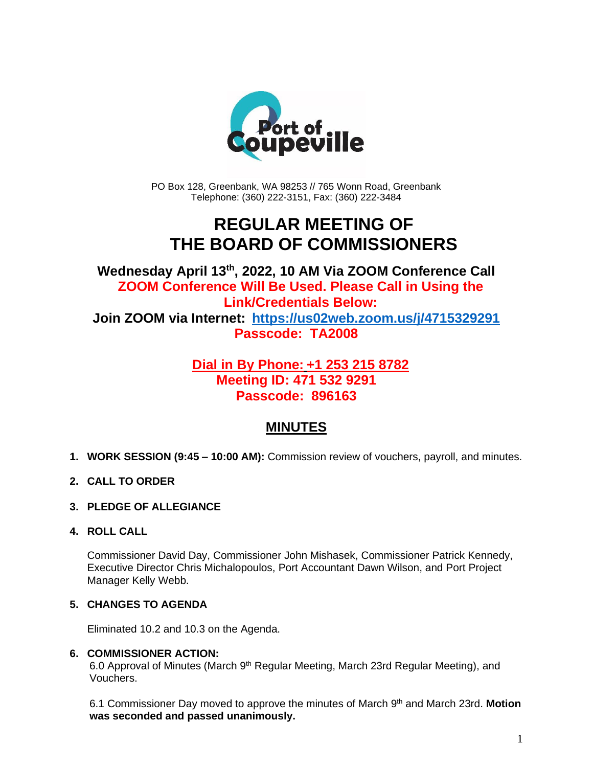

PO Box 128, Greenbank, WA 98253 // 765 Wonn Road, Greenbank Telephone: (360) 222-3151, Fax: (360) 222-3484

## **REGULAR MEETING OF THE BOARD OF COMMISSIONERS**

**Wednesday April 13th , 2022, 10 AM Via ZOOM Conference Call ZOOM Conference Will Be Used. Please Call in Using the Link/Credentials Below: Join ZOOM via Internet: <https://us02web.zoom.us/j/4715329291> Passcode: TA2008**

### **Dial in By Phone: +1 253 215 8782 Meeting ID: 471 532 9291 Passcode: 896163**

## **MINUTES**

- **1. WORK SESSION (9:45 – 10:00 AM):** Commission review of vouchers, payroll, and minutes.
- **2. CALL TO ORDER**
- **3. PLEDGE OF ALLEGIANCE**
- **4. ROLL CALL**

Commissioner David Day, Commissioner John Mishasek, Commissioner Patrick Kennedy, Executive Director Chris Michalopoulos, Port Accountant Dawn Wilson, and Port Project Manager Kelly Webb.

#### **5. CHANGES TO AGENDA**

Eliminated 10.2 and 10.3 on the Agenda.

#### **6. COMMISSIONER ACTION:**

6.0 Approval of Minutes (March 9<sup>th</sup> Regular Meeting, March 23rd Regular Meeting), and Vouchers.

6.1 Commissioner Day moved to approve the minutes of March 9<sup>th</sup> and March 23rd. Motion **was seconded and passed unanimously.**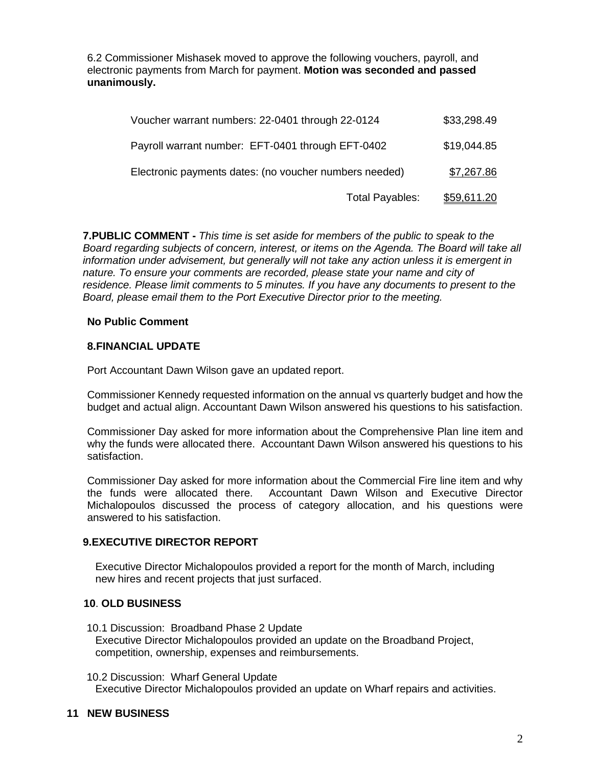6.2 Commissioner Mishasek moved to approve the following vouchers, payroll, and electronic payments from March for payment. **Motion was seconded and passed unanimously.**

| Voucher warrant numbers: 22-0401 through 22-0124       |                        | \$33,298.49        |
|--------------------------------------------------------|------------------------|--------------------|
| Payroll warrant number: EFT-0401 through EFT-0402      |                        | \$19,044.85        |
| Electronic payments dates: (no voucher numbers needed) |                        | \$7,267.86         |
|                                                        | <b>Total Payables:</b> | <u>\$59,611.20</u> |

**7.PUBLIC COMMENT -** *This time is set aside for members of the public to speak to the Board regarding subjects of concern, interest, or items on the Agenda. The Board will take all information under advisement, but generally will not take any action unless it is emergent in nature. To ensure your comments are recorded, please state your name and city of residence. Please limit comments to 5 minutes. If you have any documents to present to the Board, please email them to the Port Executive Director prior to the meeting.*

#### **No Public Comment**

#### **8.FINANCIAL UPDATE**

Port Accountant Dawn Wilson gave an updated report.

Commissioner Kennedy requested information on the annual vs quarterly budget and how the budget and actual align. Accountant Dawn Wilson answered his questions to his satisfaction.

Commissioner Day asked for more information about the Comprehensive Plan line item and why the funds were allocated there. Accountant Dawn Wilson answered his questions to his satisfaction.

Commissioner Day asked for more information about the Commercial Fire line item and why the funds were allocated there. Accountant Dawn Wilson and Executive Director Michalopoulos discussed the process of category allocation, and his questions were answered to his satisfaction.

#### **9.EXECUTIVE DIRECTOR REPORT**

Executive Director Michalopoulos provided a report for the month of March, including new hires and recent projects that just surfaced.

#### **10**. **OLD BUSINESS**

- 10.1 Discussion: Broadband Phase 2 Update Executive Director Michalopoulos provided an update on the Broadband Project, competition, ownership, expenses and reimbursements.
- 10.2 Discussion: Wharf General Update Executive Director Michalopoulos provided an update on Wharf repairs and activities.

#### **11 NEW BUSINESS**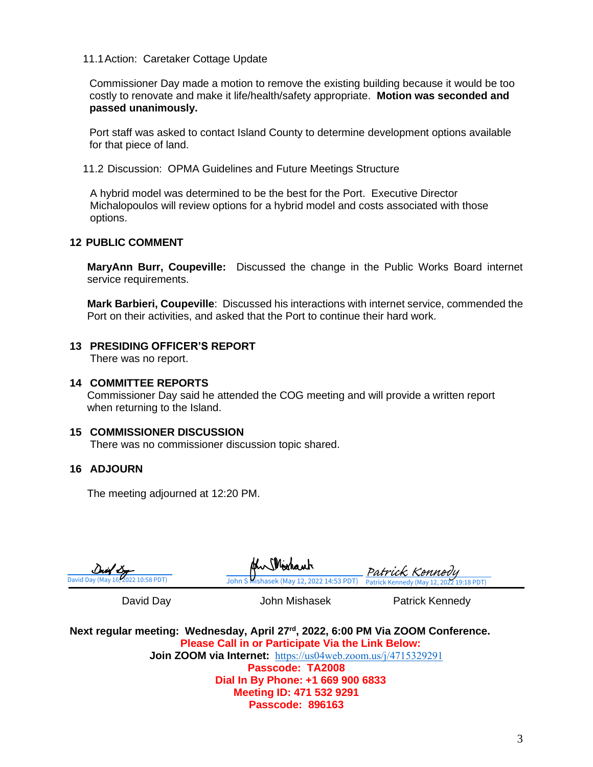#### 11.1Action: Caretaker Cottage Update

Commissioner Day made a motion to remove the existing building because it would be too costly to renovate and make it life/health/safety appropriate. **Motion was seconded and passed unanimously.**

Port staff was asked to contact Island County to determine development options available for that piece of land.

11.2 Discussion: OPMA Guidelines and Future Meetings Structure

A hybrid model was determined to be the best for the Port. Executive Director Michalopoulos will review options for a hybrid model and costs associated with those options.

#### **12 PUBLIC COMMENT**

**MaryAnn Burr, Coupeville:** Discussed the change in the Public Works Board internet service requirements.

**Mark Barbieri, Coupeville**: Discussed his interactions with internet service, commended the Port on their activities, and asked that the Port to continue their hard work.

#### **13 PRESIDING OFFICER'S REPORT**

There was no report.

#### **14 COMMITTEE REPORTS**

Commissioner Day said he attended the COG meeting and will provide a written report when returning to the Island.

#### **15 COMMISSIONER DISCUSSION**

There was no commissioner discussion topic shared.

#### **16 ADJOURN**

The meeting adjourned at 12:20 PM.

| Duid Dy                            |
|------------------------------------|
| David Day (May 16, 2022 10:58 PDT) |

[John S Mishasek \(May 12, 2022 14:53 PDT\)](https://na3.documents.adobe.com/verifier?tx=CBJCHBCAABAA6mS8fr_skILcq3ovViRPbU2vM6gyo8LQ) Patrick Kennedy (May 12, 20 Patrick,

David Day **Communist Clubs** John Mishasek **Patrick Kennedy** 

Next regular meeting: Wednesday, April 27<sup>rd</sup>, 2022, 6:00 PM Via ZOOM Conference. **Please Call in or Participate Via the Link Below: Join ZOOM via Internet:** <https://us04web.zoom.us/j/4715329291> **Passcode: TA2008 Dial In By Phone: +1 669 900 6833 Meeting ID: 471 532 9291 Passcode: 896163**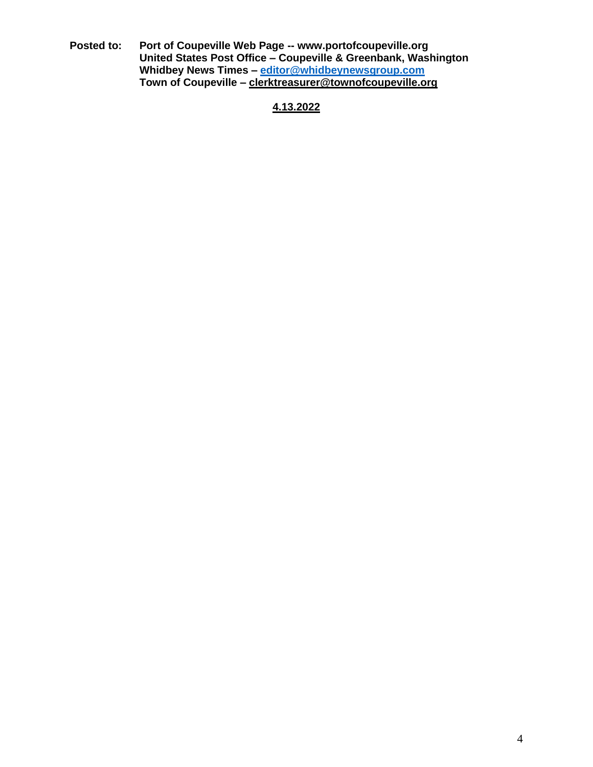**Posted to: Port of Coupeville Web Page -- www.portofcoupeville.org United States Post Office – Coupeville & Greenbank, Washington Whidbey News Times – [editor@whidbeynewsgroup.com](mailto:editor@whidbeynewsgroup.com) Town of Coupeville – [clerktreasurer@townofcoupeville.org](mailto:clerktreasurer@townofcoupeville.org)**

**4.13.2022**